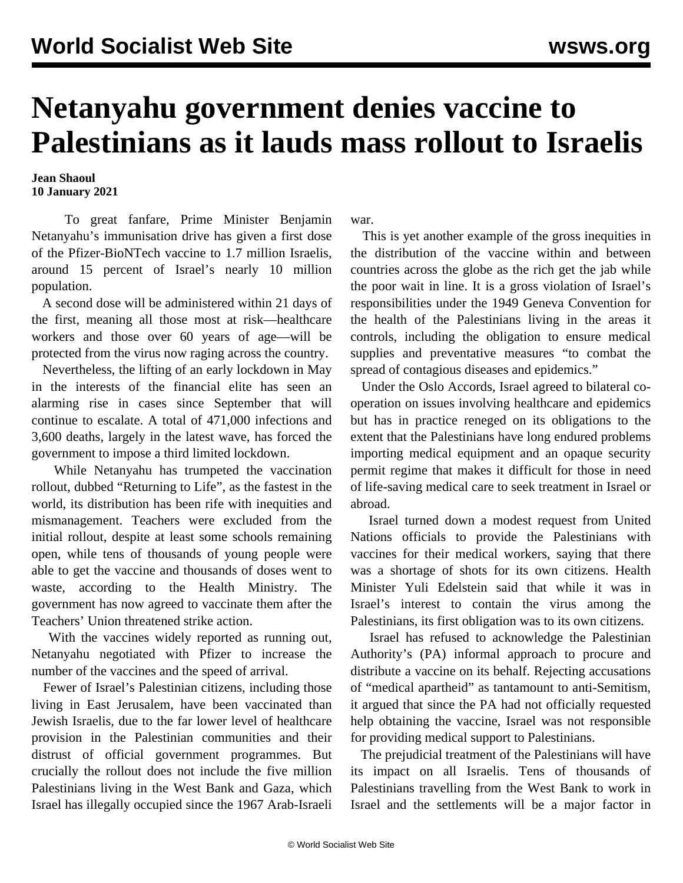## **Netanyahu government denies vaccine to Palestinians as it lauds mass rollout to Israelis**

## **Jean Shaoul 10 January 2021**

 To great fanfare, Prime Minister Benjamin Netanyahu's immunisation drive has given a first dose of the Pfizer-BioNTech vaccine to 1.7 million Israelis, around 15 percent of Israel's nearly 10 million population.

 A second dose will be administered within 21 days of the first, meaning all those most at risk—healthcare workers and those over 60 years of age—will be protected from the virus now raging across the country.

 Nevertheless, the lifting of an early lockdown in May in the interests of the financial elite has seen an alarming rise in cases since September that will continue to escalate. A total of 471,000 infections and 3,600 deaths, largely in the latest wave, has forced the government to impose a third limited lockdown.

 While Netanyahu has trumpeted the vaccination rollout, dubbed "Returning to Life", as the fastest in the world, its distribution has been rife with inequities and mismanagement. Teachers were excluded from the initial rollout, despite at least some schools remaining open, while tens of thousands of young people were able to get the vaccine and thousands of doses went to waste, according to the Health Ministry. The government has now agreed to vaccinate them after the Teachers' Union threatened strike action.

 With the vaccines widely reported as running out, Netanyahu negotiated with Pfizer to increase the number of the vaccines and the speed of arrival.

 Fewer of Israel's Palestinian citizens, including those living in East Jerusalem, have been vaccinated than Jewish Israelis, due to the far lower level of healthcare provision in the Palestinian communities and their distrust of official government programmes. But crucially the rollout does not include the five million Palestinians living in the West Bank and Gaza, which Israel has illegally occupied since the 1967 Arab-Israeli

war.

 This is yet another example of the gross inequities in the distribution of the vaccine within and between countries across the globe as the rich get the jab while the poor wait in line. It is a gross violation of Israel's responsibilities under the 1949 Geneva Convention for the health of the Palestinians living in the areas it controls, including the obligation to ensure medical supplies and preventative measures "to combat the spread of contagious diseases and epidemics."

 Under the Oslo Accords, Israel agreed to bilateral cooperation on issues involving healthcare and epidemics but has in practice reneged on its obligations to the extent that the Palestinians have long endured problems importing medical equipment and an opaque security permit regime that makes it difficult for those in need of life-saving medical care to seek treatment in Israel or abroad.

 Israel turned down a modest request from United Nations officials to provide the Palestinians with vaccines for their medical workers, saying that there was a shortage of shots for its own citizens. Health Minister Yuli Edelstein said that while it was in Israel's interest to contain the virus among the Palestinians, its first obligation was to its own citizens.

 Israel has refused to acknowledge the Palestinian Authority's (PA) informal approach to procure and distribute a vaccine on its behalf. Rejecting accusations of "medical apartheid" as tantamount to anti-Semitism, it argued that since the PA had not officially requested help obtaining the vaccine, Israel was not responsible for providing medical support to Palestinians.

 The prejudicial treatment of the Palestinians will have its impact on all Israelis. Tens of thousands of Palestinians travelling from the West Bank to work in Israel and the settlements will be a major factor in